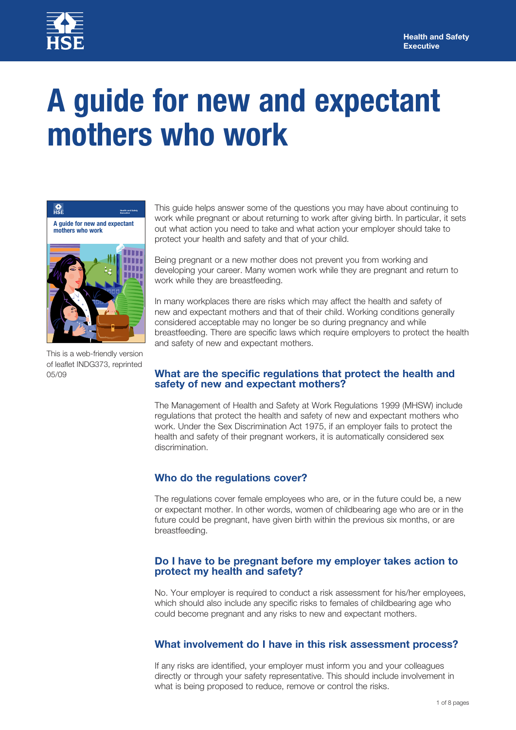

# **A guide for new and expectant mothers who work**



05/09 This is a web-friendly version of leaflet INDG373, reprinted

This guide helps answer some of the questions you may have about continuing to work while pregnant or about returning to work after giving birth. In particular, it sets out what action you need to take and what action your employer should take to protect your health and safety and that of your child.

Being pregnant or a new mother does not prevent you from working and developing your career. Many women work while they are pregnant and return to work while they are breastfeeding.

In many workplaces there are risks which may affect the health and safety of new and expectant mothers and that of their child. Working conditions generally considered acceptable may no longer be so during pregnancy and while breastfeeding. There are specific laws which require employers to protect the health and safety of new and expectant mothers.

#### **What are the specific regulations that protect the health and safety of new and expectant mothers?**

The Management of Health and Safety at Work Regulations 1999 (MHSW) include regulations that protect the health and safety of new and expectant mothers who work. Under the Sex Discrimination Act 1975, if an employer fails to protect the health and safety of their pregnant workers, it is automatically considered sex discrimination.

# **Who do the regulations cover?**

The regulations cover female employees who are, or in the future could be, a new or expectant mother. In other words, women of childbearing age who are or in the future could be pregnant, have given birth within the previous six months, or are breastfeeding.

#### **Do I have to be pregnant before my employer takes action to protect my health and safety?**

No. Your employer is required to conduct a risk assessment for his/her employees, which should also include any specific risks to females of childbearing age who could become pregnant and any risks to new and expectant mothers.

## **What involvement do I have in this risk assessment process?**

If any risks are identified, your employer must inform you and your colleagues directly or through your safety representative. This should include involvement in what is being proposed to reduce, remove or control the risks.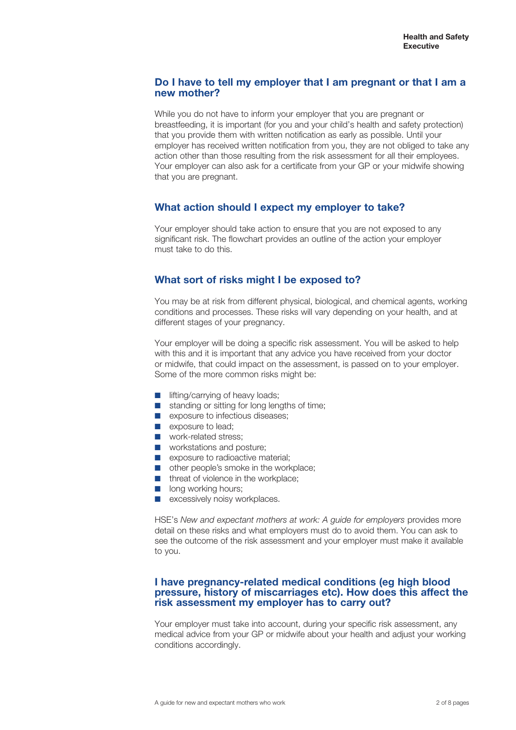#### **Do I have to tell my employer that I am pregnant or that I am a new mother?**

While you do not have to inform your employer that you are pregnant or breastfeeding, it is important (for you and your child's health and safety protection) that you provide them with written notification as early as possible. Until your employer has received written notification from you, they are not obliged to take any action other than those resulting from the risk assessment for all their employees. Your employer can also ask for a certificate from your GP or your midwife showing that you are pregnant.

# **What action should I expect my employer to take?**

Your employer should take action to ensure that you are not exposed to any significant risk. The flowchart provides an outline of the action your employer must take to do this.

# **What sort of risks might I be exposed to?**

You may be at risk from different physical, biological, and chemical agents, working conditions and processes. These risks will vary depending on your health, and at different stages of your pregnancy.

Your employer will be doing a specific risk assessment. You will be asked to help with this and it is important that any advice you have received from your doctor or midwife, that could impact on the assessment, is passed on to your employer. Some of the more common risks might be:

- lifting/carrying of heavy loads;
- standing or sitting for long lengths of time;
- exposure to infectious diseases;
- exposure to lead:
- work-related stress;
- workstations and posture;
- exposure to radioactive material;
- other people's smoke in the workplace;
- threat of violence in the workplace;
- long working hours;
- excessively noisy workplaces.

HSE's *New and expectant mothers at work: A guide for employers provides more* detail on these risks and what employers must do to avoid them. You can ask to see the outcome of the risk assessment and your employer must make it available to you.

#### **I have pregnancy-related medical conditions (eg high blood pressure, history of miscarriages etc). How does this affect the risk assessment my employer has to carry out?**

Your employer must take into account, during your specific risk assessment, any medical advice from your GP or midwife about your health and adjust your working conditions accordingly.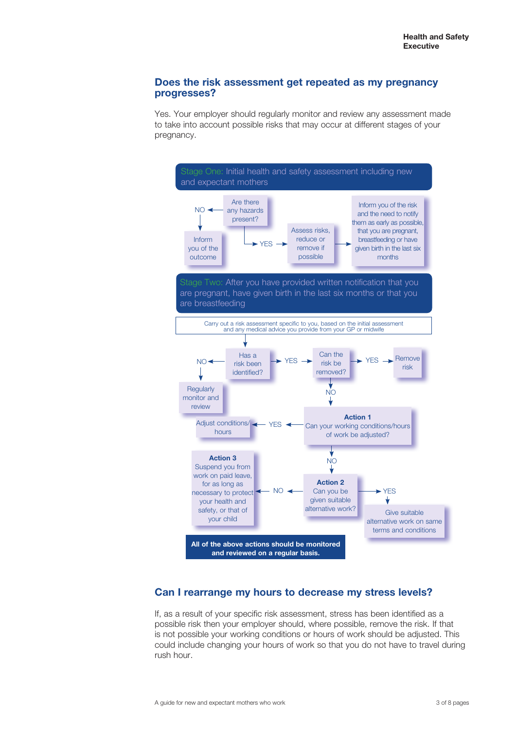#### **Does the risk assessment get repeated as my pregnancy progresses?**

Yes. Your employer should regularly monitor and review any assessment made to take into account possible risks that may occur at different stages of your pregnancy.



# **Can I rearrange my hours to decrease my stress levels?**

If, as a result of your specific risk assessment, stress has been identified as a possible risk then your employer should, where possible, remove the risk. If that is not possible your working conditions or hours of work should be adjusted. This could include changing your hours of work so that you do not have to travel during rush hour.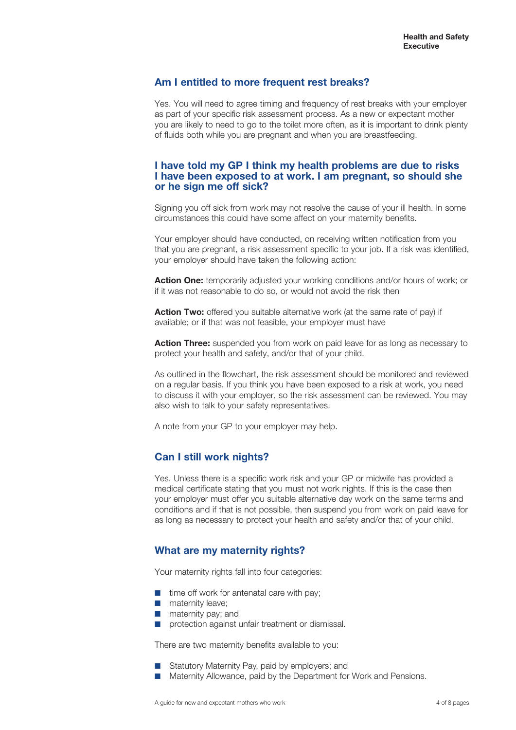## **Am I entitled to more frequent rest breaks?**

Yes. You will need to agree timing and frequency of rest breaks with your employer as part of your specific risk assessment process. As a new or expectant mother you are likely to need to go to the toilet more often, as it is important to drink plenty of fluids both while you are pregnant and when you are breastfeeding.

#### **I have told my GP I think my health problems are due to risks I have been exposed to at work. I am pregnant, so should she or he sign me off sick?**

Signing you off sick from work may not resolve the cause of your ill health. In some circumstances this could have some affect on your maternity benefits.

Your employer should have conducted, on receiving written notification from you that you are pregnant, a risk assessment specific to your job. If a risk was identified, your employer should have taken the following action:

**Action One:** temporarily adjusted your working conditions and/or hours of work; or if it was not reasonable to do so, or would not avoid the risk then

**Action Two:** offered you suitable alternative work (at the same rate of pay) if available; or if that was not feasible, your employer must have

**Action Three:** suspended you from work on paid leave for as long as necessary to protect your health and safety, and/or that of your child.

As outlined in the flowchart, the risk assessment should be monitored and reviewed on a regular basis. If you think you have been exposed to a risk at work, you need to discuss it with your employer, so the risk assessment can be reviewed. You may also wish to talk to your safety representatives.

A note from your GP to your employer may help.

## **Can I still work nights?**

Yes. Unless there is a specific work risk and your GP or midwife has provided a medical certificate stating that you must not work nights. If this is the case then your employer must offer you suitable alternative day work on the same terms and conditions and if that is not possible, then suspend you from work on paid leave for as long as necessary to protect your health and safety and/or that of your child.

## **What are my maternity rights?**

Your maternity rights fall into four categories:

- time off work for antenatal care with pay;
- maternity leave:
- maternity pay; and
- protection against unfair treatment or dismissal.

There are two maternity benefits available to you:

- Statutory Maternity Pay, paid by employers; and
- Maternity Allowance, paid by the Department for Work and Pensions.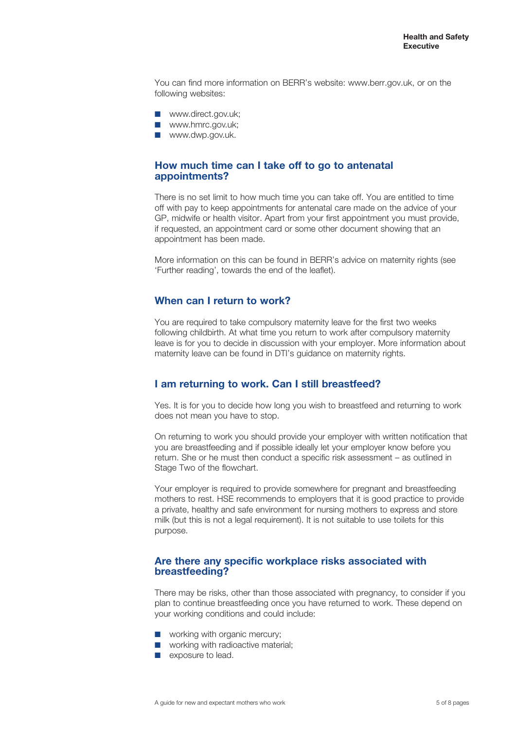You can find more information on BERR's website: www.berr.gov.uk, or on the following websites:

- www.direct.gov.uk:
- www.hmrc.gov.uk;
- www.dwp.gov.uk.

#### **How much time can I take off to go to antenatal appointments?**

There is no set limit to how much time you can take off. You are entitled to time off with pay to keep appointments for antenatal care made on the advice of your GP, midwife or health visitor. Apart from your first appointment you must provide, if requested, an appointment card or some other document showing that an appointment has been made.

More information on this can be found in BERR's advice on maternity rights (see 'Further reading', towards the end of the leaflet).

# **When can I return to work?**

You are required to take compulsory maternity leave for the first two weeks following childbirth. At what time you return to work after compulsory maternity leave is for you to decide in discussion with your employer. More information about maternity leave can be found in DTI's guidance on maternity rights.

## **I am returning to work. Can I still breastfeed?**

Yes. It is for you to decide how long you wish to breastfeed and returning to work does not mean you have to stop.

On returning to work you should provide your employer with written notification that you are breastfeeding and if possible ideally let your employer know before you return. She or he must then conduct a specific risk assessment – as outlined in Stage Two of the flowchart.

Your employer is required to provide somewhere for pregnant and breastfeeding mothers to rest. HSE recommends to employers that it is good practice to provide a private, healthy and safe environment for nursing mothers to express and store milk (but this is not a legal requirement). It is not suitable to use toilets for this purpose.

#### **Are there any specific workplace risks associated with breastfeeding?**

There may be risks, other than those associated with pregnancy, to consider if you plan to continue breastfeeding once you have returned to work. These depend on your working conditions and could include:

- working with organic mercury;
- working with radioactive material;
- exposure to lead.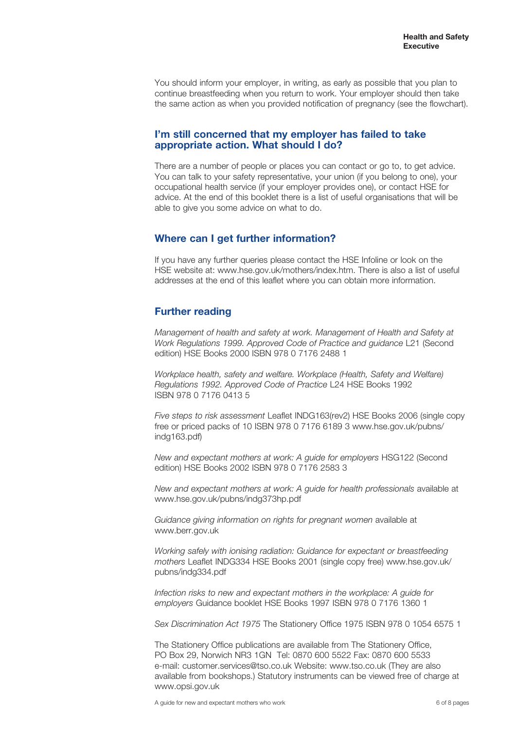You should inform your employer, in writing, as early as possible that you plan to continue breastfeeding when you return to work. Your employer should then take the same action as when you provided notification of pregnancy (see the flowchart).

#### **I'm still concerned that my employer has failed to take appropriate action. What should I do?**

There are a number of people or places you can contact or go to, to get advice. You can talk to your safety representative, your union (if you belong to one), your occupational health service (if your employer provides one), or contact HSE for advice. At the end of this booklet there is a list of useful organisations that will be able to give you some advice on what to do.

## **Where can I get further information?**

If you have any further queries please contact the HSE Infoline or look on the HSE website at: www.hse.gov.uk/mothers/index.htm. There is also a list of useful addresses at the end of this leaflet where you can obtain more information.

# **Further reading**

*Management of health and safety at work. Management of Health and Safety at Work Regulations 1999. Approved Code of Practice and guidance* L21 (Second edition) HSE Books 2000 ISBN 978 0 7176 2488 1

*Workplace health, safety and welfare. Workplace (Health, Safety and Welfare) Regulations 1992. Approved Code of Practice* L24 HSE Books 1992 ISBN 978 0 7176 0413 5

*Five steps to risk assessment* Leaflet INDG163(rev2) HSE Books 2006 (single copy free or priced packs of 10 ISBN 978 0 7176 6189 3 www.hse.gov.uk/pubns/ indg163.pdf)

*New and expectant mothers at work: A guide for employers* HSG122 (Second edition) HSE Books 2002 ISBN 978 0 7176 2583 3

*New and expectant mothers at work: A guide for health professionals* available at www.hse.gov.uk/pubns/indg373hp.pdf

*Guidance giving information on rights for pregnant women* available at www.berr.gov.uk

*Working safely with ionising radiation: Guidance for expectant or breastfeeding mothers* Leaflet INDG334 HSE Books 2001 (single copy free) www.hse.gov.uk/ pubns/indg334.pdf

*Infection risks to new and expectant mothers in the workplace: A guide for employers* Guidance booklet HSE Books 1997 ISBN 978 0 7176 1360 1

*Sex Discrimination Act 1975* The Stationery Office 1975 ISBN 978 0 1054 6575 1

The Stationery Office publications are available from The Stationery Office, PO Box 29, Norwich NR3 1GN Tel: 0870 600 5522 Fax: 0870 600 5533 e-mail: customer.services@tso.co.uk Website: www.tso.co.uk (They are also available from bookshops.) Statutory instruments can be viewed free of charge at www.opsi.gov.uk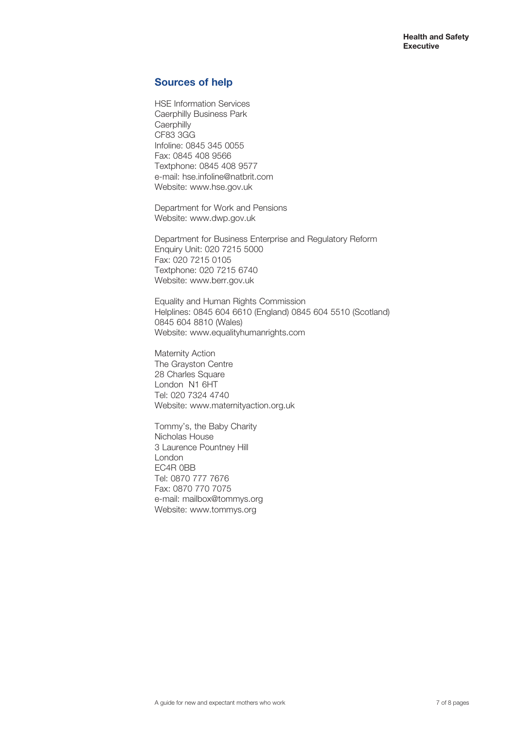# **Sources of help**

HSE Information Services Caerphilly Business Park **Caerphilly** CF83 3GG Infoline: 0845 345 0055 Fax: 0845 408 9566 Textphone: 0845 408 9577 e-mail: hse.infoline@natbrit.com Website: www.hse.gov.uk

Department for Work and Pensions Website: www.dwp.gov.uk

Department for Business Enterprise and Regulatory Reform Enquiry Unit: 020 7215 5000 Fax: 020 7215 0105 Textphone: 020 7215 6740 Website: www.berr.gov.uk

Equality and Human Rights Commission Helplines: 0845 604 6610 (England) 0845 604 5510 (Scotland) 0845 604 8810 (Wales) Website: www.equalityhumanrights.com

Maternity Action The Grayston Centre 28 Charles Square London N1 6HT Tel: 020 7324 4740 Website: www.maternityaction.org.uk

Tommy's, the Baby Charity Nicholas House 3 Laurence Pountney Hill London EC4R 0BB Tel: 0870 777 7676 Fax: 0870 770 7075 e-mail: mailbox@tommys.org Website: www.tommys.org